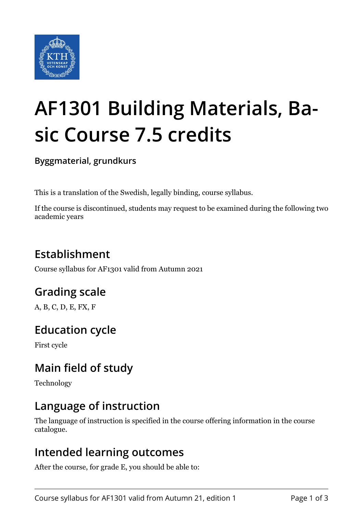

# **AF1301 Building Materials, Basic Course 7.5 credits**

**Byggmaterial, grundkurs**

This is a translation of the Swedish, legally binding, course syllabus.

If the course is discontinued, students may request to be examined during the following two academic years

## **Establishment**

Course syllabus for AF1301 valid from Autumn 2021

## **Grading scale**

A, B, C, D, E, FX, F

## **Education cycle**

First cycle

## **Main field of study**

Technology

#### **Language of instruction**

The language of instruction is specified in the course offering information in the course catalogue.

#### **Intended learning outcomes**

After the course, for grade E, you should be able to: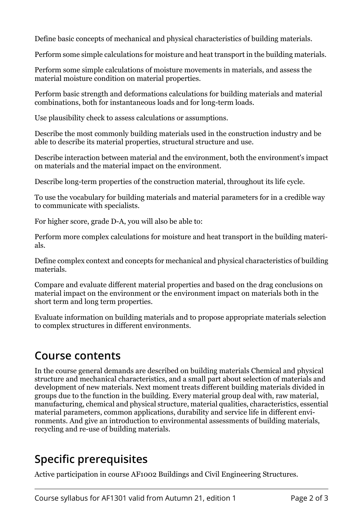Define basic concepts of mechanical and physical characteristics of building materials.

Perform some simple calculations for moisture and heat transport in the building materials.

Perform some simple calculations of moisture movements in materials, and assess the material moisture condition on material properties.

Perform basic strength and deformations calculations for building materials and material combinations, both for instantaneous loads and for long-term loads.

Use plausibility check to assess calculations or assumptions.

Describe the most commonly building materials used in the construction industry and be able to describe its material properties, structural structure and use.

Describe interaction between material and the environment, both the environment's impact on materials and the material impact on the environment.

Describe long-term properties of the construction material, throughout its life cycle.

To use the vocabulary for building materials and material parameters for in a credible way to communicate with specialists.

For higher score, grade D-A, you will also be able to:

Perform more complex calculations for moisture and heat transport in the building materials.

Define complex context and concepts for mechanical and physical characteristics of building materials.

Compare and evaluate different material properties and based on the drag conclusions on material impact on the environment or the environment impact on materials both in the short term and long term properties.

Evaluate information on building materials and to propose appropriate materials selection to complex structures in different environments.

#### **Course contents**

In the course general demands are described on building materials Chemical and physical structure and mechanical characteristics, and a small part about selection of materials and development of new materials. Next moment treats different building materials divided in groups due to the function in the building. Every material group deal with, raw material, manufacturing, chemical and physical structure, material qualities, characteristics, essential material parameters, common applications, durability and service life in different environments. And give an introduction to environmental assessments of building materials, recycling and re-use of building materials.

#### **Specific prerequisites**

Active participation in course AF1002 Buildings and Civil Engineering Structures.